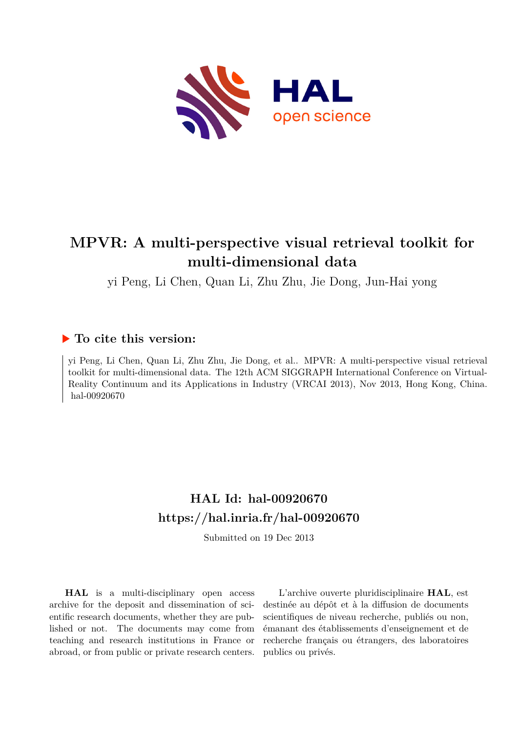

# **MPVR: A multi-perspective visual retrieval toolkit for multi-dimensional data**

yi Peng, Li Chen, Quan Li, Zhu Zhu, Jie Dong, Jun-Hai yong

# **To cite this version:**

yi Peng, Li Chen, Quan Li, Zhu Zhu, Jie Dong, et al.. MPVR: A multi-perspective visual retrieval toolkit for multi-dimensional data. The 12th ACM SIGGRAPH International Conference on Virtual-Reality Continuum and its Applications in Industry (VRCAI 2013), Nov 2013, Hong Kong, China. hal-00920670

# **HAL Id: hal-00920670 <https://hal.inria.fr/hal-00920670>**

Submitted on 19 Dec 2013

**HAL** is a multi-disciplinary open access archive for the deposit and dissemination of scientific research documents, whether they are published or not. The documents may come from teaching and research institutions in France or abroad, or from public or private research centers.

L'archive ouverte pluridisciplinaire **HAL**, est destinée au dépôt et à la diffusion de documents scientifiques de niveau recherche, publiés ou non, émanant des établissements d'enseignement et de recherche français ou étrangers, des laboratoires publics ou privés.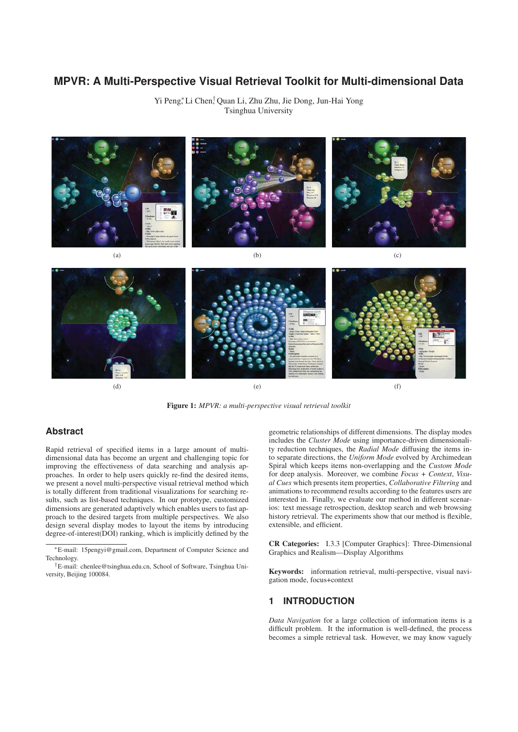# **MPVR: A Multi-Perspective Visual Retrieval Toolkit for Multi-dimensional Data**

Yi Peng<sup>∗</sup> , Li Chen† , Quan Li, Zhu Zhu, Jie Dong, Jun-Hai Yong Tsinghua University



Figure 1: *MPVR: a multi-perspective visual retrieval toolkit*

#### **Abstract**

Rapid retrieval of specified items in a large amount of multidimensional data has become an urgent and challenging topic for improving the effectiveness of data searching and analysis approaches. In order to help users quickly re-find the desired items, we present a novel multi-perspective visual retrieval method which is totally different from traditional visualizations for searching results, such as list-based techniques. In our prototype, customized dimensions are generated adaptively which enables users to fast approach to the desired targets from multiple perspectives. We also design several display modes to layout the items by introducing degree-of-interest(DOI) ranking, which is implicitly defined by the

geometric relationships of different dimensions. The display modes includes the *Cluster Mode* using importance-driven dimensionality reduction techniques, the *Radial Mode* diffusing the items into separate directions, the *Uniform Mode* evolved by Archimedean Spiral which keeps items non-overlapping and the *Custom Mode* for deep analysis. Moreover, we combine *Focus + Context*, *Visual Cues* which presents item properties, *Collaborative Filtering* and animations to recommend results according to the features users are interested in. Finally, we evaluate our method in different scenarios: text message retrospection, desktop search and web browsing history retrieval. The experiments show that our method is flexible, extensible, and efficient.

CR Categories: I.3.3 [Computer Graphics]: Three-Dimensional Graphics and Realism—Display Algorithms

Keywords: information retrieval, multi-perspective, visual navigation mode, focus+context

## **1 INTRODUCTION**

*Data Navigation* for a large collection of information items is a difficult problem. It the information is well-defined, the process becomes a simple retrieval task. However, we may know vaguely

<sup>∗</sup>E-mail: 15pengyi@gmail.com, Department of Computer Science and Technology.

<sup>†</sup>E-mail: chenlee@tsinghua.edu.cn, School of Software, Tsinghua University, Beijing 100084.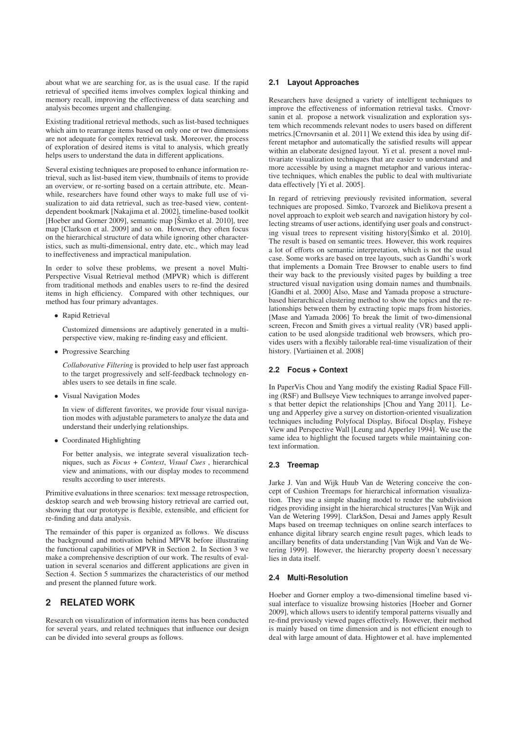about what we are searching for, as is the usual case. If the rapid retrieval of specified items involves complex logical thinking and memory recall, improving the effectiveness of data searching and analysis becomes urgent and challenging.

Existing traditional retrieval methods, such as list-based techniques which aim to rearrange items based on only one or two dimensions are not adequate for complex retrieval task. Moreover, the process of exploration of desired items is vital to analysis, which greatly helps users to understand the data in different applications.

Several existing techniques are proposed to enhance information retrieval, such as list-based item view, thumbnails of items to provide an overview, or re-sorting based on a certain attribute, etc. Meanwhile, researchers have found other ways to make full use of visualization to aid data retrieval, such as tree-based view, contentdependent bookmark [Nakajima et al. 2002], timeline-based toolkit [Hoeber and Gorner 2009], semantic map [Šimko et al. 2010], tree map [Clarkson et al. 2009] and so on. However, they often focus on the hierarchical structure of data while ignoring other characteristics, such as multi-dimensional, entry date, etc., which may lead to ineffectiveness and impractical manipulation.

In order to solve these problems, we present a novel Multi-Perspective Visual Retrieval method (MPVR) which is different from traditional methods and enables users to re-find the desired items in high efficiency. Compared with other techniques, our method has four primary advantages.

• Rapid Retrieval

Customized dimensions are adaptively generated in a multiperspective view, making re-finding easy and efficient.

• Progressive Searching

*Collaborative Filtering* is provided to help user fast approach to the target progressively and self-feedback technology enables users to see details in fine scale.

• Visual Navigation Modes

In view of different favorites, we provide four visual navigation modes with adjustable parameters to analyze the data and understand their underlying relationships.

• Coordinated Highlighting

For better analysis, we integrate several visualization techniques, such as *Focus + Context*, *Visual Cues* , hierarchical view and animations, with our display modes to recommend results according to user interests.

Primitive evaluations in three scenarios: text message retrospection, desktop search and web browsing history retrieval are carried out, showing that our prototype is flexible, extensible, and efficient for re-finding and data analysis.

The remainder of this paper is organized as follows. We discuss the background and motivation behind MPVR before illustrating the functional capabilities of MPVR in Section 2. In Section 3 we make a comprehensive description of our work. The results of evaluation in several scenarios and different applications are given in Section 4. Section 5 summarizes the characteristics of our method and present the planned future work.

## **2 RELATED WORK**

Research on visualization of information items has been conducted for several years, and related techniques that influence our design can be divided into several groups as follows.

#### **2.1 Layout Approaches**

Researchers have designed a variety of intelligent techniques to improve the effectiveness of information retrieval tasks. Crnovrsanin et al. propose a network visualization and exploration system which recommends relevant nodes to users based on different metrics.[Crnovrsanin et al. 2011] We extend this idea by using different metaphor and automatically the satisfied results will appear within an elaborate designed layout. Yi et al. present a novel multivariate visualization techniques that are easier to understand and more accessible by using a magnet metaphor and various interactive techniques, which enables the public to deal with multivariate data effectively [Yi et al. 2005].

In regard of retrieving previously revisited information, several techniques are proposed. Simko, Tvarozek and Bielikova present a novel approach to exploit web search and navigation history by collecting streams of user actions, identifying user goals and constructing visual trees to represent visiting history[ $\check{S}$ imko et al. 2010]. The result is based on semantic trees. However, this work requires a lot of efforts on semantic interpretation, which is not the usual case. Some works are based on tree layouts, such as Gandhi's work that implements a Domain Tree Browser to enable users to find their way back to the previously visited pages by building a tree structured visual navigation using domain names and thumbnails. [Gandhi et al. 2000] Also, Mase and Yamada propose a structurebased hierarchical clustering method to show the topics and the relationships between them by extracting topic maps from histories. [Mase and Yamada 2006] To break the limit of two-dimensional screen, Frecon and Smith gives a virtual reality (VR) based application to be used alongside traditional web browsers, which provides users with a flexibly tailorable real-time visualization of their history. [Vartiainen et al. 2008]

#### **2.2 Focus + Context**

In PaperVis Chou and Yang modify the existing Radial Space Filling (RSF) and Bullseye View techniques to arrange involved papers that better depict the relationships [Chou and Yang 2011]. Leung and Apperley give a survey on distortion-oriented visualization techniques including Polyfocal Display, Bifocal Display, Fisheye View and Perspective Wall [Leung and Apperley 1994]. We use the same idea to highlight the focused targets while maintaining context information.

#### **2.3 Treemap**

Jarke J. Van and Wijk Huub Van de Wetering conceive the concept of Cushion Treemaps for hierarchical information visualization. They use a simple shading model to render the subdivision ridges providing insight in the hierarchical structures [Van Wijk and Van de Wetering 1999]. ClarkSon, Desai and James apply Result Maps based on treemap techniques on online search interfaces to enhance digital library search engine result pages, which leads to ancillary benefits of data understanding [Van Wijk and Van de Wetering 1999]. However, the hierarchy property doesn't necessary lies in data itself.

#### **2.4 Multi-Resolution**

Hoeber and Gorner employ a two-dimensional timeline based visual interface to visualize browsing histories [Hoeber and Gorner 2009], which allows users to identify temporal patterns visually and re-find previously viewed pages effectively. However, their method is mainly based on time dimension and is not efficient enough to deal with large amount of data. Hightower et al. have implemented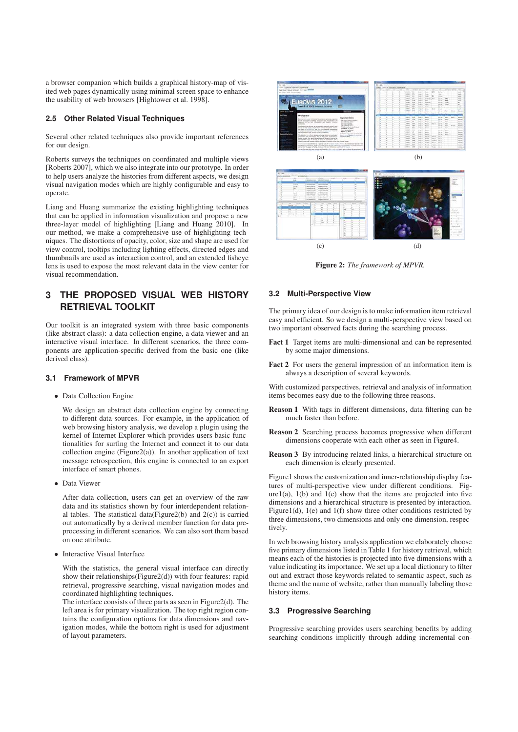a browser companion which builds a graphical history-map of visited web pages dynamically using minimal screen space to enhance the usability of web browsers [Hightower et al. 1998].

#### **2.5 Other Related Visual Techniques**

Several other related techniques also provide important references for our design.

Roberts surveys the techniques on coordinated and multiple views [Roberts 2007], which we also integrate into our prototype. In order to help users analyze the histories from different aspects, we design visual navigation modes which are highly configurable and easy to operate.

Liang and Huang summarize the existing highlighting techniques that can be applied in information visualization and propose a new three-layer model of highlighting [Liang and Huang 2010]. In our method, we make a comprehensive use of highlighting techniques. The distortions of opacity, color, size and shape are used for view control, tooltips including lighting effects, directed edges and thumbnails are used as interaction control, and an extended fisheye lens is used to expose the most relevant data in the view center for visual recommendation.

# **3 THE PROPOSED VISUAL WEB HISTORY RETRIEVAL TOOLKIT**

Our toolkit is an integrated system with three basic components (like abstract class): a data collection engine, a data viewer and an interactive visual interface. In different scenarios, the three components are application-specific derived from the basic one (like derived class).

#### **3.1 Framework of MPVR**

• Data Collection Engine

We design an abstract data collection engine by connecting to different data-sources. For example, in the application of web browsing history analysis, we develop a plugin using the kernel of Internet Explorer which provides users basic functionalities for surfing the Internet and connect it to our data collection engine (Figure2(a)). In another application of text message retrospection, this engine is connected to an export interface of smart phones.

• Data Viewer

After data collection, users can get an overview of the raw data and its statistics shown by four interdependent relational tables. The statistical data(Figure2(b) and 2(c)) is carried out automatically by a derived member function for data preprocessing in different scenarios. We can also sort them based on one attribute.

• Interactive Visual Interface

With the statistics, the general visual interface can directly show their relationships(Figure2(d)) with four features: rapid retrieval, progressive searching, visual navigation modes and coordinated highlighting techniques.

The interface consists of three parts as seen in Figure2(d). The left area is for primary visualization. The top right region contains the configuration options for data dimensions and navigation modes, while the bottom right is used for adjustment of layout parameters.



Figure 2: *The framework of MPVR.*

#### **3.2 Multi-Perspective View**

The primary idea of our design is to make information item retrieval easy and efficient. So we design a multi-perspective view based on two important observed facts during the searching process.

- Fact 1 Target items are multi-dimensional and can be represented by some major dimensions.
- Fact 2 For users the general impression of an information item is always a description of several keywords.

With customized perspectives, retrieval and analysis of information items becomes easy due to the following three reasons.

- Reason 1 With tags in different dimensions, data filtering can be much faster than before.
- Reason 2 Searching process becomes progressive when different dimensions cooperate with each other as seen in Figure4.
- Reason 3 By introducing related links, a hierarchical structure on each dimension is clearly presented.

Figure1 shows the customization and inner-relationship display features of multi-perspective view under different conditions. Fig $ure1(a)$ ,  $1(b)$  and  $1(c)$  show that the items are projected into five dimensions and a hierarchical structure is presented by interaction. Figure1(d), 1(e) and 1(f) show three other conditions restricted by three dimensions, two dimensions and only one dimension, respectively.

In web browsing history analysis application we elaborately choose five primary dimensions listed in Table 1 for history retrieval, which means each of the histories is projected into five dimensions with a value indicating its importance. We set up a local dictionary to filter out and extract those keywords related to semantic aspect, such as theme and the name of website, rather than manually labeling those history items.

#### **3.3 Progressive Searching**

Progressive searching provides users searching benefits by adding searching conditions implicitly through adding incremental con-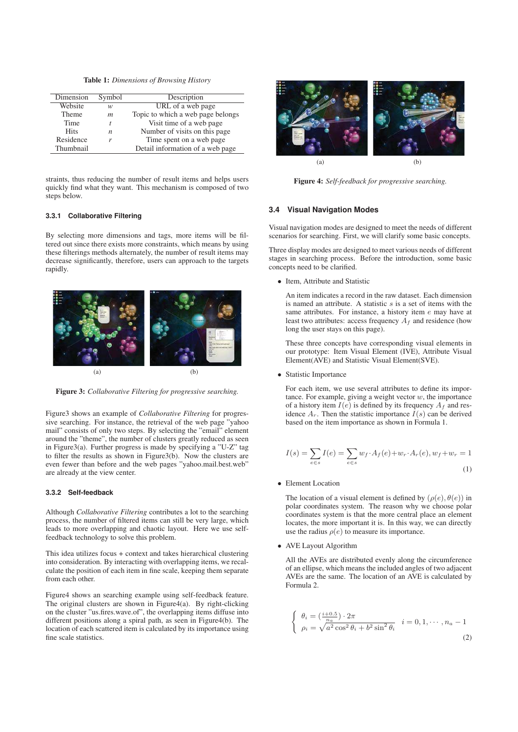Table 1: *Dimensions of Browsing History*

| Symbol | Description                       |  |
|--------|-----------------------------------|--|
| w      | URL of a web page                 |  |
| m      | Topic to which a web page belongs |  |
|        | Visit time of a web page          |  |
| n      | Number of visits on this page.    |  |
| r      | Time spent on a web page          |  |
|        | Detail information of a web page  |  |
|        |                                   |  |

straints, thus reducing the number of result items and helps users quickly find what they want. This mechanism is composed of two steps below.

#### **3.3.1 Collaborative Filtering**

By selecting more dimensions and tags, more items will be filtered out since there exists more constraints, which means by using these filterings methods alternately, the number of result items may decrease significantly, therefore, users can approach to the targets rapidly.



Figure 3: *Collaborative Filtering for progressive searching.*

Figure3 shows an example of *Collaborative Filtering* for progressive searching. For instance, the retrieval of the web page "yahoo mail" consists of only two steps. By selecting the "email" element around the "theme", the number of clusters greatly reduced as seen in Figure3(a). Further progress is made by specifying a "U-Z" tag to filter the results as shown in Figure3(b). Now the clusters are even fewer than before and the web pages "yahoo.mail.best.web" are already at the view center.

#### **3.3.2 Self-feedback**

Although *Collaborative Filtering* contributes a lot to the searching process, the number of filtered items can still be very large, which leads to more overlapping and chaotic layout. Here we use selffeedback technology to solve this problem.

This idea utilizes focus + context and takes hierarchical clustering into consideration. By interacting with overlapping items, we recalculate the position of each item in fine scale, keeping them separate from each other.

Figure4 shows an searching example using self-feedback feature. The original clusters are shown in Figure $4(a)$ . By right-clicking on the cluster "us.fires.wave.of", the overlapping items diffuse into different positions along a spiral path, as seen in Figure4(b). The location of each scattered item is calculated by its importance using fine scale statistics.



Figure 4: *Self-feedback for progressive searching.*

#### **3.4 Visual Navigation Modes**

Visual navigation modes are designed to meet the needs of different scenarios for searching. First, we will clarify some basic concepts.

Three display modes are designed to meet various needs of different stages in searching process. Before the introduction, some basic concepts need to be clarified.

• Item, Attribute and Statistic

An item indicates a record in the raw dataset. Each dimension is named an attribute. A statistic  $s$  is a set of items with the same attributes. For instance, a history item e may have at least two attributes: access frequency  $A_f$  and residence (how long the user stays on this page).

These three concepts have corresponding visual elements in our prototype: Item Visual Element (IVE), Attribute Visual Element(AVE) and Statistic Visual Element(SVE).

• Statistic Importance

For each item, we use several attributes to define its importance. For example, giving a weight vector  $w$ , the importance of a history item  $I(e)$  is defined by its frequency  $A_f$  and residence  $A_r$ . Then the statistic importance  $I(s)$  can be derived based on the item importance as shown in Formula 1.

$$
I(s) = \sum_{e \in s} I(e) = \sum_{e \in s} w_f \cdot A_f(e) + w_r \cdot A_r(e), w_f + w_r = 1
$$
\n(1)

• Element Location

The location of a visual element is defined by  $(\rho(e), \theta(e))$  in polar coordinates system. The reason why we choose polar coordinates system is that the more central place an element locates, the more important it is. In this way, we can directly use the radius  $\rho(e)$  to measure its importance.

• AVE Layout Algorithm

All the AVEs are distributed evenly along the circumference of an ellipse, which means the included angles of two adjacent AVEs are the same. The location of an AVE is calculated by Formula 2.

$$
\begin{cases} \n\theta_i = \left(\frac{i+0.5}{n_a}\right) \cdot 2\pi \\
\rho_i = \sqrt{a^2 \cos^2 \theta_i + b^2 \sin^2 \theta_i} \quad i = 0, 1, \cdots, n_a - 1 \\
(2) \n\end{cases}
$$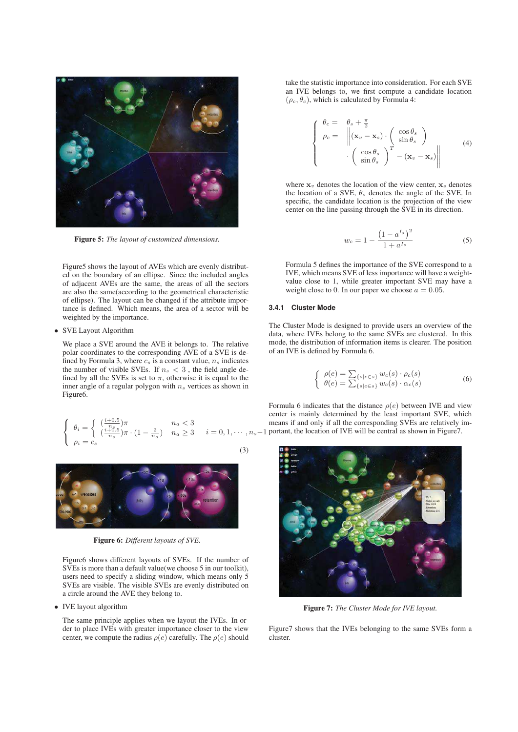

Figure 5: *The layout of customized dimensions.*

Figure5 shows the layout of AVEs which are evenly distributed on the boundary of an ellipse. Since the included angles of adjacent AVEs are the same, the areas of all the sectors are also the same(according to the geometrical characteristic of ellipse). The layout can be changed if the attribute importance is defined. Which means, the area of a sector will be weighted by the importance.

#### • SVE Layout Algorithm

We place a SVE around the AVE it belongs to. The relative polar coordinates to the corresponding AVE of a SVE is defined by Formula 3, where  $c_s$  is a constant value,  $n_s$  indicates the number of visible SVEs. If  $n_s < 3$ , the field angle defined by all the SVEs is set to  $\pi$ , otherwise it is equal to the inner angle of a regular polygon with  $n_s$  vertices as shown in Figure6.

$$
\begin{cases}\n\theta_i = \begin{cases}\n\left(\frac{i+0.5}{n_s}\right)\pi & n_a < 3 \\
\left(\frac{i+0.5}{n_s}\right)\pi \cdot \left(1 - \frac{2}{n_a}\right) & n_a \ge 3 \\
\rho_i = c_s\n\end{cases} i = 0, 1, \cdots, n\end{cases}
$$
\n(3)



Figure 6: *Different layouts of SVE.*

Figure6 shows different layouts of SVEs. If the number of SVEs is more than a default value(we choose 5 in our toolkit), users need to specify a sliding window, which means only 5 SVEs are visible. The visible SVEs are evenly distributed on a circle around the AVE they belong to.

#### • IVE layout algorithm

The same principle applies when we layout the IVEs. In order to place IVEs with greater importance closer to the view center, we compute the radius  $\rho(e)$  carefully. The  $\rho(e)$  should take the statistic importance into consideration. For each SVE an IVE belongs to, we first compute a candidate location  $(\rho_c, \theta_c)$ , which is calculated by Formula 4:

$$
\begin{cases}\n\theta_c = \theta_s + \frac{\pi}{2} \\
\rho_c = \left\| (\mathbf{x}_v - \mathbf{x}_s) \cdot \left( \begin{array}{c} \cos \theta_s \\ \sin \theta_s \end{array} \right) \\
\cdot \left( \begin{array}{c} \cos \theta_s \\ \sin \theta_s \end{array} \right)^T - (\mathbf{x}_v - \mathbf{x}_s) \right\|\n\end{cases} (4)
$$

where  $x_v$  denotes the location of the view center,  $x_s$  denotes the location of a SVE,  $\theta_s$  denotes the angle of the SVE. In specific, the candidate location is the projection of the view center on the line passing through the SVE in its direction.

$$
w_c = 1 - \frac{\left(1 - a^{I_s}\right)^2}{1 + a^{I_s}}
$$
 (5)

Formula 5 defines the importance of the SVE correspond to a IVE, which means SVE of less importance will have a weightvalue close to 1, while greater important SVE may have a weight close to 0. In our paper we choose  $a = 0.05$ .

#### **3.4.1 Cluster Mode**

The Cluster Mode is designed to provide users an overview of the data, where IVEs belong to the same SVEs are clustered. In this mode, the distribution of information items is clearer. The position of an IVE is defined by Formula 6.

$$
\begin{cases}\n\rho(e) = \sum_{\{s \mid e \in s\}} w_c(s) \cdot \rho_c(s) \\
\theta(e) = \sum_{\{s \mid e \in s\}} w_c(s) \cdot \alpha_c(s)\n\end{cases} \n\tag{6}
$$

 $i = 0, 1, \dots, n_s-1$  portant, the location of IVE will be central as shown in Figure7. Formula 6 indicates that the distance  $\rho(e)$  between IVE and view center is mainly determined by the least important SVE, which means if and only if all the corresponding SVEs are relatively im-



Figure 7: *The Cluster Mode for IVE layout.*

Figure7 shows that the IVEs belonging to the same SVEs form a cluster.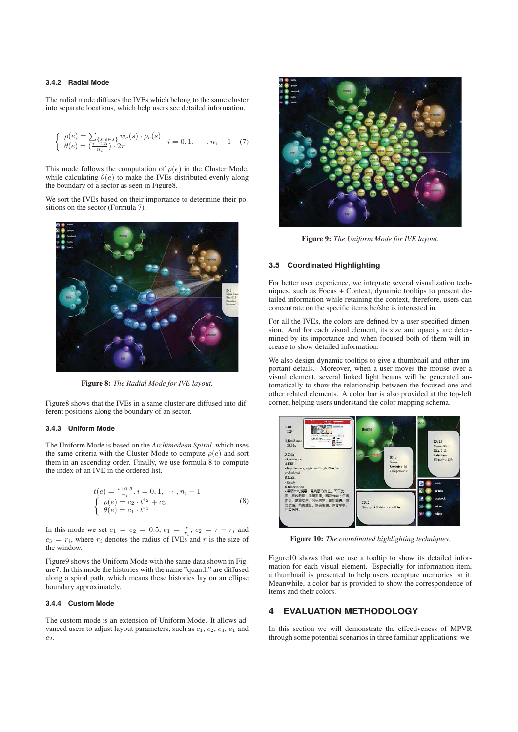#### **3.4.2 Radial Mode**

The radial mode diffuses the IVEs which belong to the same cluster into separate locations, which help users see detailed information.

$$
\begin{cases}\n\rho(e) = \sum_{\{s \mid e \in s\}} w_c(s) \cdot \rho_c(s) \\
\theta(e) = \left(\frac{i+0.5}{n_i}\right) \cdot 2\pi\n\end{cases} \quad i = 0, 1, \cdots, n_i - 1 \quad (7)
$$

This mode follows the computation of  $\rho(e)$  in the Cluster Mode, while calculating  $\theta(e)$  to make the IVEs distributed evenly along the boundary of a sector as seen in Figure8.

We sort the IVEs based on their importance to determine their positions on the sector (Formula 7).



Figure 8: *The Radial Mode for IVE layout.*

Figure8 shows that the IVEs in a same cluster are diffused into different positions along the boundary of an sector.

#### **3.4.3 Uniform Mode**

The Uniform Mode is based on the *Archimedean Spiral*, which uses the same criteria with the Cluster Mode to compute  $\rho(e)$  and sort them in an ascending order. Finally, we use formula 8 to compute the index of an IVE in the ordered list.

$$
t(e) = \frac{i+0.5}{n_i}, i = 0, 1, \cdots, n_i - 1
$$
  
\n
$$
\begin{cases}\n\rho(e) = c_2 \cdot t^{e_2} + c_3 \\
\theta(e) = c_1 \cdot t^{e_1}\n\end{cases}
$$
\n(8)

In this mode we set  $e_1 = e_2 = 0.5$ ,  $c_1 = \frac{r}{r_i}$ ,  $c_2 = r - r_i$  and  $c_3 = r_i$ , where  $r_i$  denotes the radius of IVEs and r is the size of the window.

Figure9 shows the Uniform Mode with the same data shown in Figure7. In this mode the histories with the name "quan.li" are diffused along a spiral path, which means these histories lay on an ellipse boundary approximately.

#### **3.4.4 Custom Mode**

The custom mode is an extension of Uniform Mode. It allows advanced users to adjust layout parameters, such as  $c_1$ ,  $c_2$ ,  $c_3$ ,  $e_1$  and  $e_2$ .



Figure 9: *The Uniform Mode for IVE layout.*

#### **3.5 Coordinated Highlighting**

For better user experience, we integrate several visualization techniques, such as Focus + Context, dynamic tooltips to present detailed information while retaining the context, therefore, users can concentrate on the specific items he/she is interested in.

For all the IVEs, the colors are defined by a user specified dimension. And for each visual element, its size and opacity are determined by its importance and when focused both of them will increase to show detailed information.

We also design dynamic tooltips to give a thumbnail and other important details. Moreover, when a user moves the mouse over a visual element, several linked light beams will be generated automatically to show the relationship between the focused one and other related elements. A color bar is also provided at the top-left corner, helping users understand the color mapping schema.



Figure 10: *The coordinated highlighting techniques.*

Figure10 shows that we use a tooltip to show its detailed information for each visual element. Especially for information item, a thumbnail is presented to help users recapture memories on it. Meanwhile, a color bar is provided to show the correspondence of items and their colors.

## **4 EVALUATION METHODOLOGY**

In this section we will demonstrate the effectiveness of MPVR through some potential scenarios in three familiar applications: we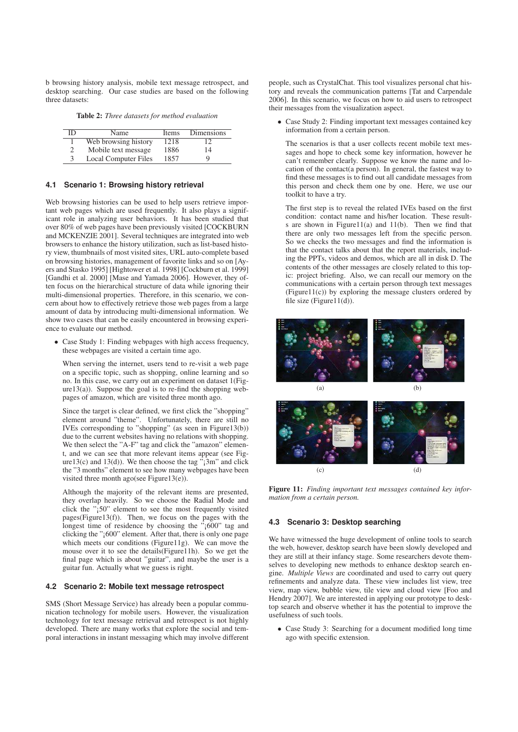b browsing history analysis, mobile text message retrospect, and desktop searching. Our case studies are based on the following three datasets:

Table 2: *Three datasets for method evaluation*

| ID | Name                        | Items | Dimensions |
|----|-----------------------------|-------|------------|
|    | Web browsing history        | 1218  | 12         |
|    | Mobile text message         | 1886  | 14         |
| 3  | <b>Local Computer Files</b> | 1857  | 9          |

#### **4.1 Scenario 1: Browsing history retrieval**

Web browsing histories can be used to help users retrieve important web pages which are used frequently. It also plays a significant role in analyzing user behaviors. It has been studied that over 80% of web pages have been previously visited [COCKBURN and MCKENZIE 2001]. Several techniques are integrated into web browsers to enhance the history utilization, such as list-based history view, thumbnails of most visited sites, URL auto-complete based on browsing histories, management of favorite links and so on [Ayers and Stasko 1995] [Hightower et al. 1998] [Cockburn et al. 1999] [Gandhi et al. 2000] [Mase and Yamada 2006]. However, they often focus on the hierarchical structure of data while ignoring their multi-dimensional properties. Therefore, in this scenario, we concern about how to effectively retrieve those web pages from a large amount of data by introducing multi-dimensional information. We show two cases that can be easily encountered in browsing experience to evaluate our method.

• Case Study 1: Finding webpages with high access frequency, these webpages are visited a certain time ago.

When serving the internet, users tend to re-visit a web page on a specific topic, such as shopping, online learning and so no. In this case, we carry out an experiment on dataset 1(Fig $ure13(a)$ ). Suppose the goal is to re-find the shopping webpages of amazon, which are visited three month ago.

Since the target is clear defined, we first click the "shopping" element around "theme". Unfortunately, there are still no IVEs corresponding to "shopping" (as seen in Figure13(b)) due to the current websites having no relations with shopping. We then select the "A-F" tag and click the "amazon" element, and we can see that more relevant items appear (see Figure13(c) and 13(d)). We then choose the tag  $\overline{3}$  and click the "3 months" element to see how many webpages have been visited three month ago(see Figure13(e)).

Although the majority of the relevant items are presented, they overlap heavily. So we choose the Radial Mode and click the "¡50" element to see the most frequently visited pages(Figure13(f)). Then, we focus on the pages with the longest time of residence by choosing the "<sub>1</sub>600" tag and clicking the "¡600" element. After that, there is only one page which meets our conditions (Figure11g). We can move the mouse over it to see the details(Figure11h). So we get the final page which is about "guitar", and maybe the user is a guitar fun. Actually what we guess is right.

#### **4.2 Scenario 2: Mobile text message retrospect**

SMS (Short Message Service) has already been a popular communication technology for mobile users. However, the visualization technology for text message retrieval and retrospect is not highly developed. There are many works that explore the social and temporal interactions in instant messaging which may involve different

people, such as CrystalChat. This tool visualizes personal chat history and reveals the communication patterns [Tat and Carpendale 2006]. In this scenario, we focus on how to aid users to retrospect their messages from the visualization aspect.

• Case Study 2: Finding important text messages contained key information from a certain person.

The scenarios is that a user collects recent mobile text messages and hope to check some key information, however he can't remember clearly. Suppose we know the name and location of the contact(a person). In general, the fastest way to find these messages is to find out all candidate messages from this person and check them one by one. Here, we use our toolkit to have a try.

The first step is to reveal the related IVEs based on the first condition: contact name and his/her location. These results are shown in Figure  $11(a)$  and  $11(b)$ . Then we find that there are only two messages left from the specific person. So we checks the two messages and find the information is that the contact talks about that the report materials, including the PPTs, videos and demos, which are all in disk D. The contents of the other messages are closely related to this topic: project briefing. Also, we can recall our memory on the communications with a certain person through text messages (Figure11(c)) by exploring the message clusters ordered by file size (Figure  $11(d)$ ).





Figure 11: *Finding important text messages contained key information from a certain person.*

#### **4.3 Scenario 3: Desktop searching**

We have witnessed the huge development of online tools to search the web, however, desktop search have been slowly developed and they are still at their infancy stage. Some researchers devote themselves to developing new methods to enhance desktop search engine. *Multiple Views* are coordinated and used to carry out query refinements and analyze data. These view includes list view, tree view, map view, bubble view, tile view and cloud view [Foo and Hendry 2007]. We are interested in applying our prototype to desktop search and observe whether it has the potential to improve the usefulness of such tools.

• Case Study 3: Searching for a document modified long time ago with specific extension.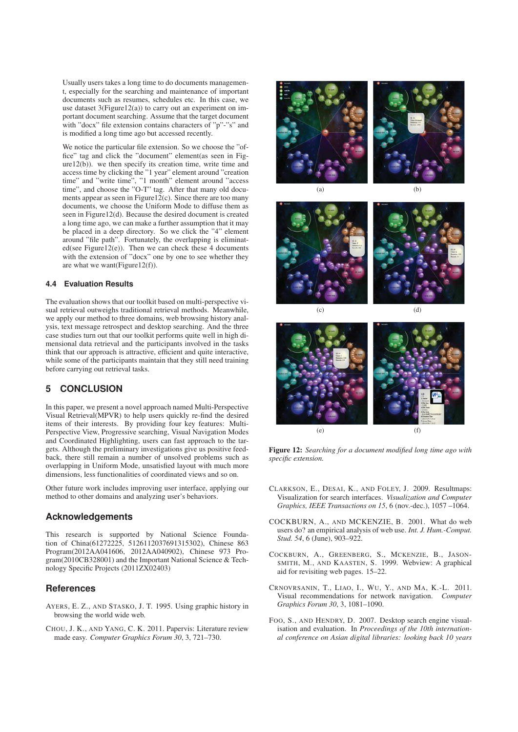Usually users takes a long time to do documents management, especially for the searching and maintenance of important documents such as resumes, schedules etc. In this case, we use dataset 3(Figure12(a)) to carry out an experiment on important document searching. Assume that the target document with "docx" file extension contains characters of "p"-"s" and is modified a long time ago but accessed recently.

We notice the particular file extension. So we choose the "office" tag and click the "document" element(as seen in Figure12(b)). we then specify its creation time, write time and access time by clicking the "1 year" element around "creation time" and "write time", "1 month" element around "access time", and choose the "O-T" tag. After that many old documents appear as seen in Figure  $12(c)$ . Since there are too many documents, we choose the Uniform Mode to diffuse them as seen in Figure12(d). Because the desired document is created a long time ago, we can make a further assumption that it may be placed in a deep directory. So we click the "4" element around "file path". Fortunately, the overlapping is eliminated(see Figure12(e)). Then we can check these 4 documents with the extension of "docx" one by one to see whether they are what we want(Figure12(f)).

#### **4.4 Evaluation Results**

The evaluation shows that our toolkit based on multi-perspective visual retrieval outweighs traditional retrieval methods. Meanwhile, we apply our method to three domains, web browsing history analysis, text message retrospect and desktop searching. And the three case studies turn out that our toolkit performs quite well in high dimensional data retrieval and the participants involved in the tasks think that our approach is attractive, efficient and quite interactive, while some of the participants maintain that they still need training before carrying out retrieval tasks.

### **5 CONCLUSION**

In this paper, we present a novel approach named Multi-Perspective Visual Retrieval(MPVR) to help users quickly re-find the desired items of their interests. By providing four key features: Multi-Perspective View, Progressive searching, Visual Navigation Modes and Coordinated Highlighting, users can fast approach to the targets. Although the preliminary investigations give us positive feedback, there still remain a number of unsolved problems such as overlapping in Uniform Mode, unsatisfied layout with much more dimensions, less functionalities of coordinated views and so on.

Other future work includes improving user interface, applying our method to other domains and analyzing user's behaviors.

### **Acknowledgements**

This research is supported by National Science Foundation of China(61272225, 5126112037691315302), Chinese 863 Program(2012AA041606, 2012AA040902), Chinese 973 Program(2010CB328001) and the Important National Science & Technology Specific Projects (2011ZX02403)

#### **References**

- AYERS, E. Z., AND STASKO, J. T. 1995. Using graphic history in browsing the world wide web.
- CHOU, J. K., AND YANG, C. K. 2011. Papervis: Literature review made easy. *Computer Graphics Forum 30*, 3, 721–730.



(a) (b)



(c) (d)



Figure 12: *Searching for a document modified long time ago with specific extension.*

- CLARKSON, E., DESAI, K., AND FOLEY, J. 2009. Resultmaps: Visualization for search interfaces. *Visualization and Computer Graphics, IEEE Transactions on 15*, 6 (nov.-dec.), 1057 –1064.
- COCKBURN, A., AND MCKENZIE, B. 2001. What do web users do? an empirical analysis of web use. *Int. J. Hum.-Comput. Stud. 54*, 6 (June), 903–922.
- COCKBURN, A., GREENBERG, S., MCKENZIE, B., JASON-SMITH, M., AND KAASTEN, S. 1999. Webview: A graphical aid for revisiting web pages. 15–22.
- CRNOVRSANIN, T., LIAO, I., WU, Y., AND MA, K.-L. 2011. Visual recommendations for network navigation. *Computer Graphics Forum 30*, 3, 1081–1090.
- FOO, S., AND HENDRY, D. 2007. Desktop search engine visualisation and evaluation. In *Proceedings of the 10th international conference on Asian digital libraries: looking back 10 years*